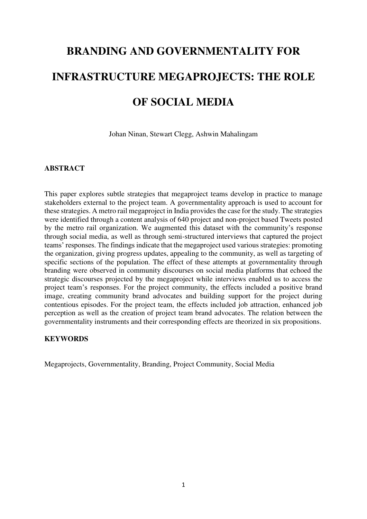# **BRANDING AND GOVERNMENTALITY FOR INFRASTRUCTURE MEGAPROJECTS: THE ROLE OF SOCIAL MEDIA**

Johan Ninan, Stewart Clegg, Ashwin Mahalingam

#### **ABSTRACT**

This paper explores subtle strategies that megaproject teams develop in practice to manage stakeholders external to the project team. A governmentality approach is used to account for these strategies. A metro rail megaproject in India provides the case for the study. The strategies were identified through a content analysis of 640 project and non-project based Tweets posted by the metro rail organization. We augmented this dataset with the community's response through social media, as well as through semi-structured interviews that captured the project teams' responses. The findings indicate that the megaproject used various strategies: promoting the organization, giving progress updates, appealing to the community, as well as targeting of specific sections of the population. The effect of these attempts at governmentality through branding were observed in community discourses on social media platforms that echoed the strategic discourses projected by the megaproject while interviews enabled us to access the project team's responses. For the project community, the effects included a positive brand image, creating community brand advocates and building support for the project during contentious episodes. For the project team, the effects included job attraction, enhanced job perception as well as the creation of project team brand advocates. The relation between the governmentality instruments and their corresponding effects are theorized in six propositions.

# **KEYWORDS**

Megaprojects, Governmentality, Branding, Project Community, Social Media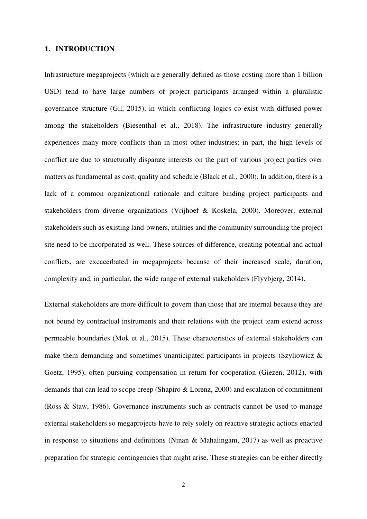#### **1. INTRODUCTION**

Infrastructure megaprojects (which are generally defined as those costing more than 1 billion USD) tend to have large numbers of project participants arranged within a pluralistic governance structure (Gil, 2015), in which conflicting logics co-exist with diffused power among the stakeholders (Biesenthal et al., 2018). The infrastructure industry generally experiences many more conflicts than in most other industries; in part, the high levels of conflict are due to structurally disparate interests on the part of various project parties over matters as fundamental as cost, quality and schedule (Black et al., 2000). In addition, there is a lack of a common organizational rationale and culture binding project participants and stakeholders from diverse organizations (Vrijhoef & Koskela, 2000). Moreover, external stakeholders such as existing land-owners, utilities and the community surrounding the project site need to be incorporated as well. These sources of difference, creating potential and actual conflicts, are excacerbated in megaprojects because of their increased scale, duration, complexity and, in particular, the wide range of external stakeholders (Flyvbjerg, 2014).

External stakeholders are more difficult to govern than those that are internal because they are not bound by contractual instruments and their relations with the project team extend across permeable boundaries (Mok et al., 2015). These characteristics of external stakeholders can make them demanding and sometimes unanticipated participants in projects (Szyliowicz  $\&$ Goetz, 1995), often pursuing compensation in return for cooperation (Giezen, 2012), with demands that can lead to scope creep (Shapiro & Lorenz, 2000) and escalation of commitment (Ross & Staw, 1986). Governance instruments such as contracts cannot be used to manage external stakeholders so megaprojects have to rely solely on reactive strategic actions enacted in response to situations and definitions (Ninan & Mahalingam, 2017) as well as proactive preparation for strategic contingencies that might arise. These strategies can be either directly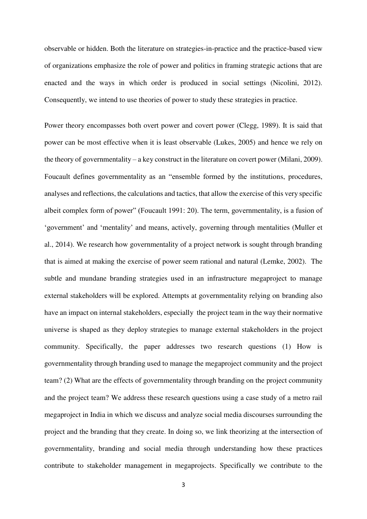observable or hidden. Both the literature on strategies-in-practice and the practice-based view of organizations emphasize the role of power and politics in framing strategic actions that are enacted and the ways in which order is produced in social settings (Nicolini, 2012). Consequently, we intend to use theories of power to study these strategies in practice.

Power theory encompasses both overt power and covert power (Clegg, 1989). It is said that power can be most effective when it is least observable (Lukes, 2005) and hence we rely on the theory of governmentality – a key construct in the literature on covert power (Milani, 2009). Foucault defines governmentality as an "ensemble formed by the institutions, procedures, analyses and reflections, the calculations and tactics, that allow the exercise of this very specific albeit complex form of power" (Foucault 1991: 20). The term, governmentality, is a fusion of 'government' and 'mentality' and means, actively, governing through mentalities (Muller et al., 2014). We research how governmentality of a project network is sought through branding that is aimed at making the exercise of power seem rational and natural (Lemke, 2002). The subtle and mundane branding strategies used in an infrastructure megaproject to manage external stakeholders will be explored. Attempts at governmentality relying on branding also have an impact on internal stakeholders, especially the project team in the way their normative universe is shaped as they deploy strategies to manage external stakeholders in the project community. Specifically, the paper addresses two research questions (1) How is governmentality through branding used to manage the megaproject community and the project team? (2) What are the effects of governmentality through branding on the project community and the project team? We address these research questions using a case study of a metro rail megaproject in India in which we discuss and analyze social media discourses surrounding the project and the branding that they create. In doing so, we link theorizing at the intersection of governmentality, branding and social media through understanding how these practices contribute to stakeholder management in megaprojects. Specifically we contribute to the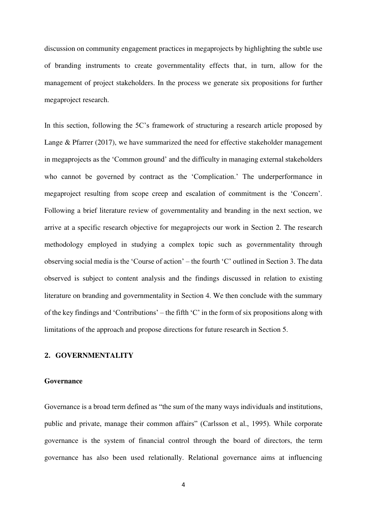discussion on community engagement practices in megaprojects by highlighting the subtle use of branding instruments to create governmentality effects that, in turn, allow for the management of project stakeholders. In the process we generate six propositions for further megaproject research.

In this section, following the 5C's framework of structuring a research article proposed by Lange & Pfarrer (2017), we have summarized the need for effective stakeholder management in megaprojects as the 'Common ground' and the difficulty in managing external stakeholders who cannot be governed by contract as the 'Complication.' The underperformance in megaproject resulting from scope creep and escalation of commitment is the 'Concern'. Following a brief literature review of governmentality and branding in the next section, we arrive at a specific research objective for megaprojects our work in Section 2. The research methodology employed in studying a complex topic such as governmentality through observing social media is the 'Course of action' – the fourth 'C' outlined in Section 3. The data observed is subject to content analysis and the findings discussed in relation to existing literature on branding and governmentality in Section 4. We then conclude with the summary of the key findings and 'Contributions' – the fifth 'C' in the form of six propositions along with limitations of the approach and propose directions for future research in Section 5.

## **2. GOVERNMENTALITY**

### **Governance**

Governance is a broad term defined as "the sum of the many ways individuals and institutions, public and private, manage their common affairs" (Carlsson et al., 1995). While corporate governance is the system of financial control through the board of directors, the term governance has also been used relationally. Relational governance aims at influencing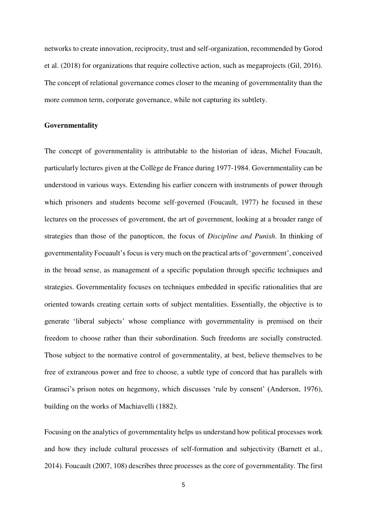networks to create innovation, reciprocity, trust and self-organization, recommended by Gorod et al. (2018) for organizations that require collective action, such as megaprojects (Gil, 2016). The concept of relational governance comes closer to the meaning of governmentality than the more common term, corporate governance, while not capturing its subtlety.

#### **Governmentality**

The concept of governmentality is attributable to the historian of ideas, Michel Foucault, particularly lectures given at the Collège de France during 1977-1984. Governmentality can be understood in various ways. Extending his earlier concern with instruments of power through which prisoners and students become self-governed (Foucault, 1977) he focused in these lectures on the processes of government, the art of government, looking at a broader range of strategies than those of the panopticon, the focus of *Discipline and Punish*. In thinking of governmentality Focuault's focus is very much on the practical arts of 'government', conceived in the broad sense, as management of a specific population through specific techniques and strategies. Governmentality focuses on techniques embedded in specific rationalities that are oriented towards creating certain sorts of subject mentalities. Essentially, the objective is to generate 'liberal subjects' whose compliance with governmentality is premised on their freedom to choose rather than their subordination. Such freedoms are socially constructed. Those subject to the normative control of governmentality, at best, believe themselves to be free of extraneous power and free to choose, a subtle type of concord that has parallels with Gramsci's prison notes on hegemony, which discusses 'rule by consent' (Anderson, 1976), building on the works of Machiavelli (1882).

Focusing on the analytics of governmentality helps us understand how political processes work and how they include cultural processes of self-formation and subjectivity (Barnett et al., 2014). Foucault (2007, 108) describes three processes as the core of governmentality. The first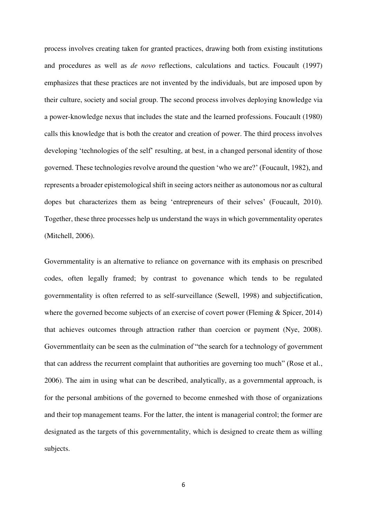process involves creating taken for granted practices, drawing both from existing institutions and procedures as well as *de novo* reflections, calculations and tactics. Foucault (1997) emphasizes that these practices are not invented by the individuals, but are imposed upon by their culture, society and social group. The second process involves deploying knowledge via a power-knowledge nexus that includes the state and the learned professions. Foucault (1980) calls this knowledge that is both the creator and creation of power. The third process involves developing 'technologies of the self' resulting, at best, in a changed personal identity of those governed. These technologies revolve around the question 'who we are?' (Foucault, 1982), and represents a broader epistemological shift in seeing actors neither as autonomous nor as cultural dopes but characterizes them as being 'entrepreneurs of their selves' (Foucault, 2010). Together, these three processes help us understand the ways in which governmentality operates (Mitchell, 2006).

Governmentality is an alternative to reliance on governance with its emphasis on prescribed codes, often legally framed; by contrast to govenance which tends to be regulated governmentality is often referred to as self-surveillance (Sewell, 1998) and subjectification, where the governed become subjects of an exercise of covert power (Fleming & Spicer, 2014) that achieves outcomes through attraction rather than coercion or payment (Nye, 2008). Governmentlaity can be seen as the culmination of "the search for a technology of government that can address the recurrent complaint that authorities are governing too much" (Rose et al., 2006). The aim in using what can be described, analytically, as a governmental approach, is for the personal ambitions of the governed to become enmeshed with those of organizations and their top management teams. For the latter, the intent is managerial control; the former are designated as the targets of this governmentality, which is designed to create them as willing subjects.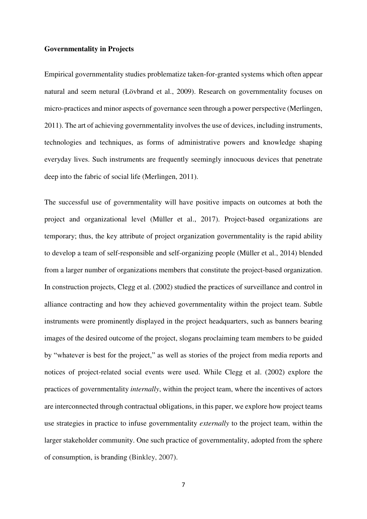#### **Governmentality in Projects**

Empirical governmentality studies problematize taken-for-granted systems which often appear natural and seem netural (Lövbrand et al., 2009). Research on governmentality focuses on micro-practices and minor aspects of governance seen through a power perspective (Merlingen, 2011). The art of achieving governmentality involves the use of devices, including instruments, technologies and techniques, as forms of administrative powers and knowledge shaping everyday lives. Such instruments are frequently seemingly innocuous devices that penetrate deep into the fabric of social life (Merlingen, 2011).

The successful use of governmentality will have positive impacts on outcomes at both the project and organizational level (Müller et al., 2017). Project-based organizations are temporary; thus, the key attribute of project organization governmentality is the rapid ability to develop a team of self-responsible and self-organizing people (Müller et al., 2014) blended from a larger number of organizations members that constitute the project-based organization. In construction projects, Clegg et al. (2002) studied the practices of surveillance and control in alliance contracting and how they achieved governmentality within the project team. Subtle instruments were prominently displayed in the project headquarters, such as banners bearing images of the desired outcome of the project, slogans proclaiming team members to be guided by "whatever is best for the project," as well as stories of the project from media reports and notices of project-related social events were used. While Clegg et al. (2002) explore the practices of governmentality *internally*, within the project team, where the incentives of actors are interconnected through contractual obligations, in this paper, we explore how project teams use strategies in practice to infuse governmentality *externally* to the project team, within the larger stakeholder community. One such practice of governmentality, adopted from the sphere of consumption, is branding (Binkley, 2007).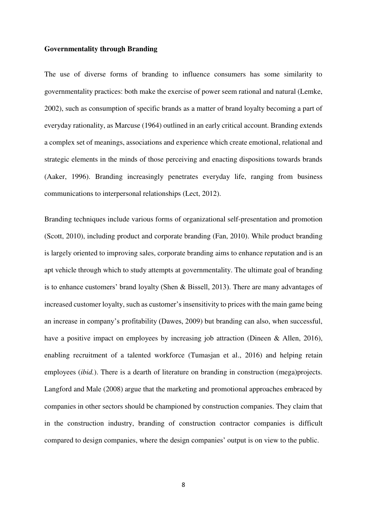#### **Governmentality through Branding**

The use of diverse forms of branding to influence consumers has some similarity to governmentality practices: both make the exercise of power seem rational and natural (Lemke, 2002), such as consumption of specific brands as a matter of brand loyalty becoming a part of everyday rationality, as Marcuse (1964) outlined in an early critical account. Branding extends a complex set of meanings, associations and experience which create emotional, relational and strategic elements in the minds of those perceiving and enacting dispositions towards brands (Aaker, 1996). Branding increasingly penetrates everyday life, ranging from business communications to interpersonal relationships (Lect, 2012).

Branding techniques include various forms of organizational self-presentation and promotion (Scott, 2010), including product and corporate branding (Fan, 2010). While product branding is largely oriented to improving sales, corporate branding aims to enhance reputation and is an apt vehicle through which to study attempts at governmentality. The ultimate goal of branding is to enhance customers' brand loyalty (Shen & Bissell, 2013). There are many advantages of increased customer loyalty, such as customer's insensitivity to prices with the main game being an increase in company's profitability (Dawes, 2009) but branding can also, when successful, have a positive impact on employees by increasing job attraction (Dineen & Allen, 2016), enabling recruitment of a talented workforce (Tumasjan et al., 2016) and helping retain employees (*ibid.*). There is a dearth of literature on branding in construction (mega)projects. Langford and Male (2008) argue that the marketing and promotional approaches embraced by companies in other sectors should be championed by construction companies. They claim that in the construction industry, branding of construction contractor companies is difficult compared to design companies, where the design companies' output is on view to the public.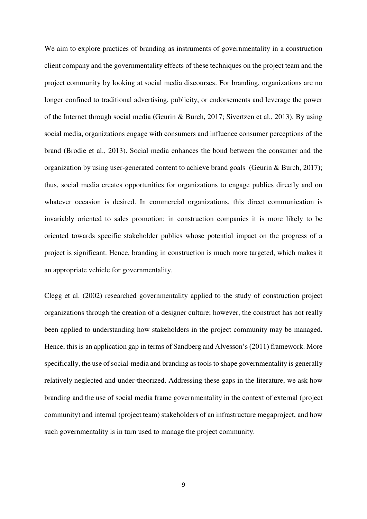We aim to explore practices of branding as instruments of governmentality in a construction client company and the governmentality effects of these techniques on the project team and the project community by looking at social media discourses. For branding, organizations are no longer confined to traditional advertising, publicity, or endorsements and leverage the power of the Internet through social media (Geurin & Burch, 2017; Sivertzen et al., 2013). By using social media, organizations engage with consumers and influence consumer perceptions of the brand (Brodie et al., 2013). Social media enhances the bond between the consumer and the organization by using user-generated content to achieve brand goals (Geurin & Burch, 2017); thus, social media creates opportunities for organizations to engage publics directly and on whatever occasion is desired. In commercial organizations, this direct communication is invariably oriented to sales promotion; in construction companies it is more likely to be oriented towards specific stakeholder publics whose potential impact on the progress of a project is significant. Hence, branding in construction is much more targeted, which makes it an appropriate vehicle for governmentality.

Clegg et al. (2002) researched governmentality applied to the study of construction project organizations through the creation of a designer culture; however, the construct has not really been applied to understanding how stakeholders in the project community may be managed. Hence, this is an application gap in terms of Sandberg and Alvesson's (2011) framework. More specifically, the use of social-media and branding as tools to shape governmentality is generally relatively neglected and under-theorized. Addressing these gaps in the literature, we ask how branding and the use of social media frame governmentality in the context of external (project community) and internal (project team) stakeholders of an infrastructure megaproject, and how such governmentality is in turn used to manage the project community.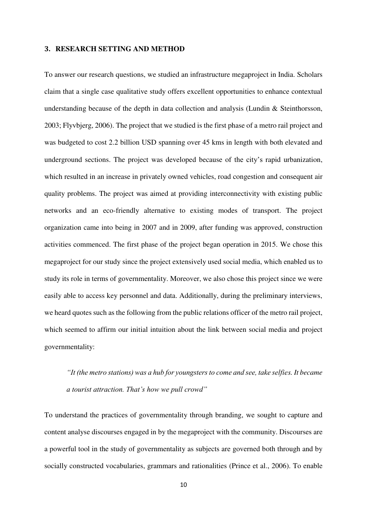#### **3. RESEARCH SETTING AND METHOD**

To answer our research questions, we studied an infrastructure megaproject in India. Scholars claim that a single case qualitative study offers excellent opportunities to enhance contextual understanding because of the depth in data collection and analysis (Lundin & Steinthorsson, 2003; Flyvbjerg, 2006). The project that we studied is the first phase of a metro rail project and was budgeted to cost 2.2 billion USD spanning over 45 kms in length with both elevated and underground sections. The project was developed because of the city's rapid urbanization, which resulted in an increase in privately owned vehicles, road congestion and consequent air quality problems. The project was aimed at providing interconnectivity with existing public networks and an eco-friendly alternative to existing modes of transport. The project organization came into being in 2007 and in 2009, after funding was approved, construction activities commenced. The first phase of the project began operation in 2015. We chose this megaproject for our study since the project extensively used social media, which enabled us to study its role in terms of governmentality. Moreover, we also chose this project since we were easily able to access key personnel and data. Additionally, during the preliminary interviews, we heard quotes such as the following from the public relations officer of the metro rail project, which seemed to affirm our initial intuition about the link between social media and project governmentality:

# *"It (the metro stations) was a hub for youngsters to come and see, take selfies. It became a tourist attraction. That's how we pull crowd"*

To understand the practices of governmentality through branding, we sought to capture and content analyse discourses engaged in by the megaproject with the community. Discourses are a powerful tool in the study of governmentality as subjects are governed both through and by socially constructed vocabularies, grammars and rationalities (Prince et al., 2006). To enable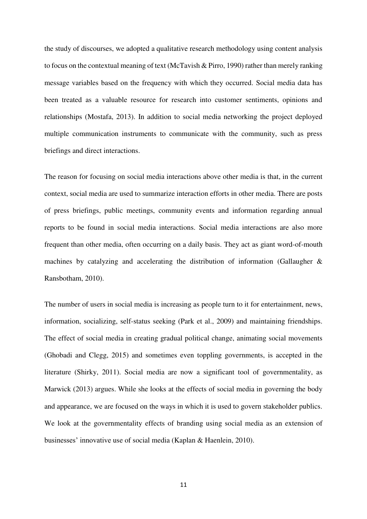the study of discourses, we adopted a qualitative research methodology using content analysis to focus on the contextual meaning of text (McTavish & Pirro, 1990) rather than merely ranking message variables based on the frequency with which they occurred. Social media data has been treated as a valuable resource for research into customer sentiments, opinions and relationships (Mostafa, 2013). In addition to social media networking the project deployed multiple communication instruments to communicate with the community, such as press briefings and direct interactions.

The reason for focusing on social media interactions above other media is that, in the current context, social media are used to summarize interaction efforts in other media. There are posts of press briefings, public meetings, community events and information regarding annual reports to be found in social media interactions. Social media interactions are also more frequent than other media, often occurring on a daily basis. They act as giant word-of-mouth machines by catalyzing and accelerating the distribution of information (Gallaugher & Ransbotham, 2010).

The number of users in social media is increasing as people turn to it for entertainment, news, information, socializing, self-status seeking (Park et al., 2009) and maintaining friendships. The effect of social media in creating gradual political change, animating social movements (Ghobadi and Clegg, 2015) and sometimes even toppling governments, is accepted in the literature (Shirky, 2011). Social media are now a significant tool of governmentality, as Marwick (2013) argues. While she looks at the effects of social media in governing the body and appearance, we are focused on the ways in which it is used to govern stakeholder publics. We look at the governmentality effects of branding using social media as an extension of businesses' innovative use of social media (Kaplan & Haenlein, 2010).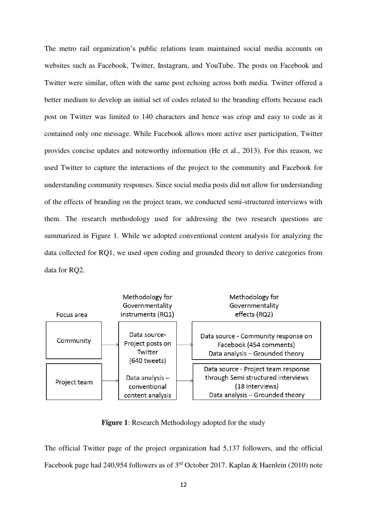The metro rail organization's public relations team maintained social media accounts on websites such as Facebook, Twitter, Instagram, and YouTube. The posts on Facebook and Twitter were similar, often with the same post echoing across both media. Twitter offered a better medium to develop an initial set of codes related to the branding efforts because each post on Twitter was limited to 140 characters and hence was crisp and easy to code as it contained only one message. While Facebook allows more active user participation, Twitter provides concise updates and noteworthy information (He et al., 2013). For this reason, we used Twitter to capture the interactions of the project to the community and Facebook for understanding community responses. Since social media posts did not allow for understanding of the effects of branding on the project team, we conducted semi-structured interviews with them. The research methodology used for addressing the two research questions are summarized in Figure 1. While we adopted conventional content analysis for analyzing the data collected for RQ1, we used open coding and grounded theory to derive categories from data for RO2.



**Figure 1**: Research Methodology adopted for the study

The official Twitter page of the project organization had 5,137 followers, and the official Facebook page had 240,954 followers as of 3rd October 2017. Kaplan & Haenlein (2010) note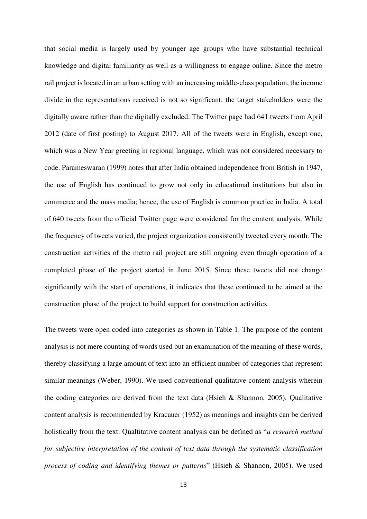that social media is largely used by younger age groups who have substantial technical knowledge and digital familiarity as well as a willingness to engage online. Since the metro rail project is located in an urban setting with an increasing middle-class population, the income divide in the representations received is not so significant: the target stakeholders were the digitally aware rather than the digitally excluded. The Twitter page had 641 tweets from April 2012 (date of first posting) to August 2017. All of the tweets were in English, except one, which was a New Year greeting in regional language, which was not considered necessary to code. Parameswaran (1999) notes that after India obtained independence from British in 1947, the use of English has continued to grow not only in educational institutions but also in commerce and the mass media; hence, the use of English is common practice in India. A total of 640 tweets from the official Twitter page were considered for the content analysis. While the frequency of tweets varied, the project organization consistently tweeted every month. The construction activities of the metro rail project are still ongoing even though operation of a completed phase of the project started in June 2015. Since these tweets did not change significantly with the start of operations, it indicates that these continued to be aimed at the construction phase of the project to build support for construction activities.

The tweets were open coded into categories as shown in Table 1. The purpose of the content analysis is not mere counting of words used but an examination of the meaning of these words, thereby classifying a large amount of text into an efficient number of categories that represent similar meanings (Weber, 1990). We used conventional qualitative content analysis wherein the coding categories are derived from the text data (Hsieh & Shannon, 2005). Qualitative content analysis is recommended by Kracauer (1952) as meanings and insights can be derived holistically from the text. Qualtitative content analysis can be defined as "*a research method for subjective interpretation of the content of text data through the systematic classification process of coding and identifying themes or patterns*" (Hsieh & Shannon, 2005). We used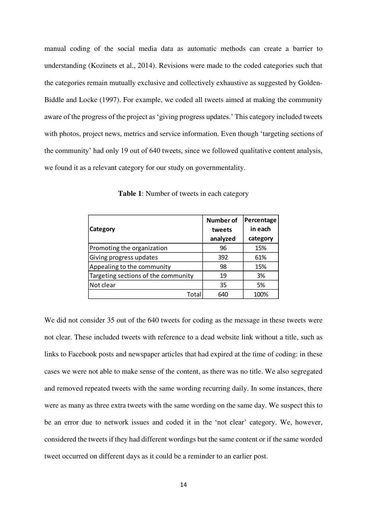manual coding of the social media data as automatic methods can create a barrier to understanding (Kozinets et al., 2014). Revisions were made to the coded categories such that the categories remain mutually exclusive and collectively exhaustive as suggested by Golden-Biddle and Locke (1997). For example, we coded all tweets aimed at making the community aware of the progress of the project as 'giving progress updates.' This category included tweets with photos, project news, metrics and service information. Even though 'targeting sections of the community' had only 19 out of 640 tweets, since we followed qualitative content analysis, we found it as a relevant category for our study on governmentality.

|                                     | <b>Number of</b> | Percentage |
|-------------------------------------|------------------|------------|
| Category                            | tweets           | in each    |
|                                     | analyzed         | category   |
| Promoting the organization          | 96               | 15%        |
| Giving progress updates             | 392              | 61%        |
| Appealing to the community          | 98               | 15%        |
| Targeting sections of the community | 19               | 3%         |
| Not clear                           | 35               | 5%         |
| Total                               | 640              | 100%       |

**Table 1**: Number of tweets in each category

We did not consider 35 out of the 640 tweets for coding as the message in these tweets were not clear. These included tweets with reference to a dead website link without a title, such as links to Facebook posts and newspaper articles that had expired at the time of coding: in these cases we were not able to make sense of the content, as there was no title. We also segregated and removed repeated tweets with the same wording recurring daily. In some instances, there were as many as three extra tweets with the same wording on the same day. We suspect this to be an error due to network issues and coded it in the 'not clear' category. We, however, considered the tweets if they had different wordings but the same content or if the same worded tweet occurred on different days as it could be a reminder to an earlier post.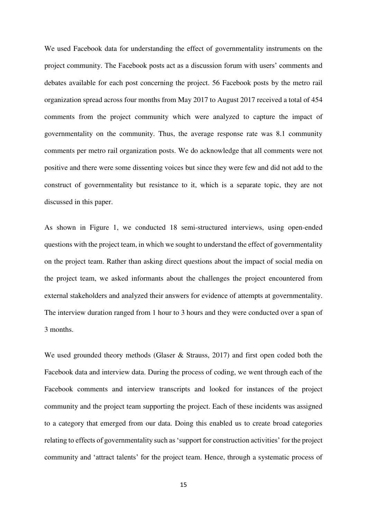We used Facebook data for understanding the effect of governmentality instruments on the project community. The Facebook posts act as a discussion forum with users' comments and debates available for each post concerning the project. 56 Facebook posts by the metro rail organization spread across four months from May 2017 to August 2017 received a total of 454 comments from the project community which were analyzed to capture the impact of governmentality on the community. Thus, the average response rate was 8.1 community comments per metro rail organization posts. We do acknowledge that all comments were not positive and there were some dissenting voices but since they were few and did not add to the construct of governmentality but resistance to it, which is a separate topic, they are not discussed in this paper.

As shown in Figure 1, we conducted 18 semi-structured interviews, using open-ended questions with the project team, in which we sought to understand the effect of governmentality on the project team. Rather than asking direct questions about the impact of social media on the project team, we asked informants about the challenges the project encountered from external stakeholders and analyzed their answers for evidence of attempts at governmentality. The interview duration ranged from 1 hour to 3 hours and they were conducted over a span of 3 months.

We used grounded theory methods (Glaser & Strauss, 2017) and first open coded both the Facebook data and interview data. During the process of coding, we went through each of the Facebook comments and interview transcripts and looked for instances of the project community and the project team supporting the project. Each of these incidents was assigned to a category that emerged from our data. Doing this enabled us to create broad categories relating to effects of governmentality such as 'support for construction activities' for the project community and 'attract talents' for the project team. Hence, through a systematic process of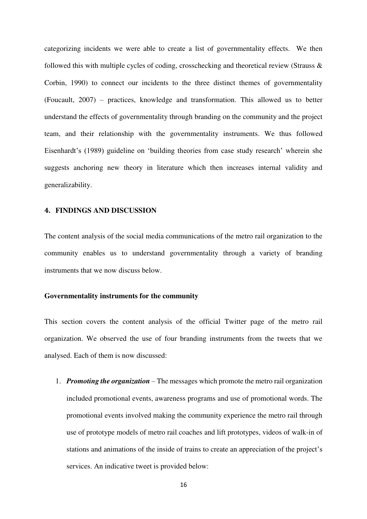categorizing incidents we were able to create a list of governmentality effects. We then followed this with multiple cycles of coding, crosschecking and theoretical review (Strauss  $\&$ Corbin, 1990) to connect our incidents to the three distinct themes of governmentality (Foucault, 2007) – practices, knowledge and transformation. This allowed us to better understand the effects of governmentality through branding on the community and the project team, and their relationship with the governmentality instruments. We thus followed Eisenhardt's (1989) guideline on 'building theories from case study research' wherein she suggests anchoring new theory in literature which then increases internal validity and generalizability.

### **4. FINDINGS AND DISCUSSION**

The content analysis of the social media communications of the metro rail organization to the community enables us to understand governmentality through a variety of branding instruments that we now discuss below.

#### **Governmentality instruments for the community**

This section covers the content analysis of the official Twitter page of the metro rail organization. We observed the use of four branding instruments from the tweets that we analysed. Each of them is now discussed:

1. *Promoting the organization* – The messages which promote the metro rail organization included promotional events, awareness programs and use of promotional words. The promotional events involved making the community experience the metro rail through use of prototype models of metro rail coaches and lift prototypes, videos of walk-in of stations and animations of the inside of trains to create an appreciation of the project's services. An indicative tweet is provided below: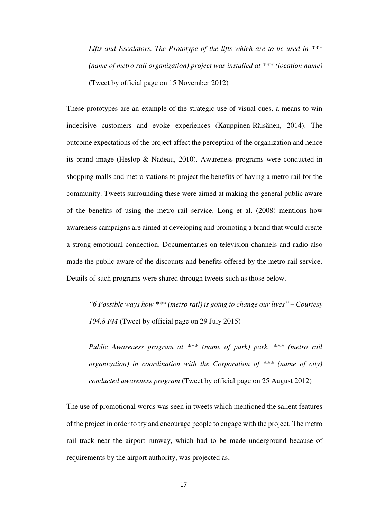*Lifts and Escalators. The Prototype of the lifts which are to be used in \*\*\* (name of metro rail organization) project was installed at \*\*\* (location name)* (Tweet by official page on 15 November 2012)

These prototypes are an example of the strategic use of visual cues, a means to win indecisive customers and evoke experiences (Kauppinen-Räisänen, 2014). The outcome expectations of the project affect the perception of the organization and hence its brand image (Heslop & Nadeau, 2010). Awareness programs were conducted in shopping malls and metro stations to project the benefits of having a metro rail for the community. Tweets surrounding these were aimed at making the general public aware of the benefits of using the metro rail service. Long et al. (2008) mentions how awareness campaigns are aimed at developing and promoting a brand that would create a strong emotional connection. Documentaries on television channels and radio also made the public aware of the discounts and benefits offered by the metro rail service. Details of such programs were shared through tweets such as those below.

*"6 Possible ways how \*\*\* (metro rail) is going to change our lives" – Courtesy 104.8 FM* (Tweet by official page on 29 July 2015)

*Public Awareness program at \*\*\* (name of park) park. \*\*\* (metro rail organization) in coordination with the Corporation of \*\*\* (name of city) conducted awareness program* (Tweet by official page on 25 August 2012)

The use of promotional words was seen in tweets which mentioned the salient features of the project in order to try and encourage people to engage with the project. The metro rail track near the airport runway, which had to be made underground because of requirements by the airport authority, was projected as,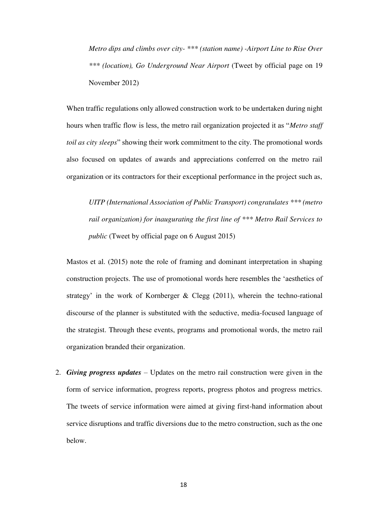*Metro dips and climbs over city- \*\*\* (station name) -Airport Line to Rise Over \*\*\* (location), Go Underground Near Airport* (Tweet by official page on 19 November 2012)

When traffic regulations only allowed construction work to be undertaken during night hours when traffic flow is less, the metro rail organization projected it as "*Metro staff toil as city sleeps*" showing their work commitment to the city. The promotional words also focused on updates of awards and appreciations conferred on the metro rail organization or its contractors for their exceptional performance in the project such as,

*UITP (International Association of Public Transport) congratulates \*\*\* (metro rail organization) for inaugurating the first line of \*\*\* Metro Rail Services to public* (Tweet by official page on 6 August 2015)

Mastos et al. (2015) note the role of framing and dominant interpretation in shaping construction projects. The use of promotional words here resembles the 'aesthetics of strategy' in the work of Kornberger & Clegg (2011), wherein the techno-rational discourse of the planner is substituted with the seductive, media-focused language of the strategist. Through these events, programs and promotional words, the metro rail organization branded their organization.

2. *Giving progress updates* – Updates on the metro rail construction were given in the form of service information, progress reports, progress photos and progress metrics. The tweets of service information were aimed at giving first-hand information about service disruptions and traffic diversions due to the metro construction, such as the one below.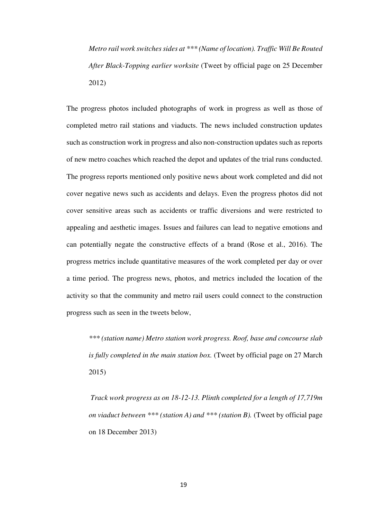*Metro rail work switches sides at \*\*\* (Name of location). Traffic Will Be Routed After Black-Topping earlier worksite* (Tweet by official page on 25 December 2012)

The progress photos included photographs of work in progress as well as those of completed metro rail stations and viaducts. The news included construction updates such as construction work in progress and also non-construction updates such as reports of new metro coaches which reached the depot and updates of the trial runs conducted. The progress reports mentioned only positive news about work completed and did not cover negative news such as accidents and delays. Even the progress photos did not cover sensitive areas such as accidents or traffic diversions and were restricted to appealing and aesthetic images. Issues and failures can lead to negative emotions and can potentially negate the constructive effects of a brand (Rose et al., 2016). The progress metrics include quantitative measures of the work completed per day or over a time period. The progress news, photos, and metrics included the location of the activity so that the community and metro rail users could connect to the construction progress such as seen in the tweets below,

*\*\*\* (station name) Metro station work progress. Roof, base and concourse slab is fully completed in the main station box.* (Tweet by official page on 27 March 2015)

*Track work progress as on 18-12-13. Plinth completed for a length of 17,719m on viaduct between \*\*\* (station A) and \*\*\* (station B).* (Tweet by official page on 18 December 2013)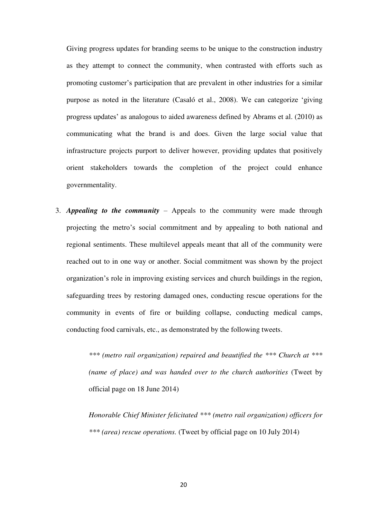Giving progress updates for branding seems to be unique to the construction industry as they attempt to connect the community, when contrasted with efforts such as promoting customer's participation that are prevalent in other industries for a similar purpose as noted in the literature (Casaló et al., 2008). We can categorize 'giving progress updates' as analogous to aided awareness defined by Abrams et al. (2010) as communicating what the brand is and does. Given the large social value that infrastructure projects purport to deliver however, providing updates that positively orient stakeholders towards the completion of the project could enhance governmentality.

3. *Appealing to the community* – Appeals to the community were made through projecting the metro's social commitment and by appealing to both national and regional sentiments. These multilevel appeals meant that all of the community were reached out to in one way or another. Social commitment was shown by the project organization's role in improving existing services and church buildings in the region, safeguarding trees by restoring damaged ones, conducting rescue operations for the community in events of fire or building collapse, conducting medical camps, conducting food carnivals, etc., as demonstrated by the following tweets.

> *\*\*\* (metro rail organization) repaired and beautified the \*\*\* Church at \*\*\* (name of place) and was handed over to the church authorities* (Tweet by official page on 18 June 2014)

> *Honorable Chief Minister felicitated \*\*\* (metro rail organization) officers for \*\*\* (area) rescue operations.* (Tweet by official page on 10 July 2014)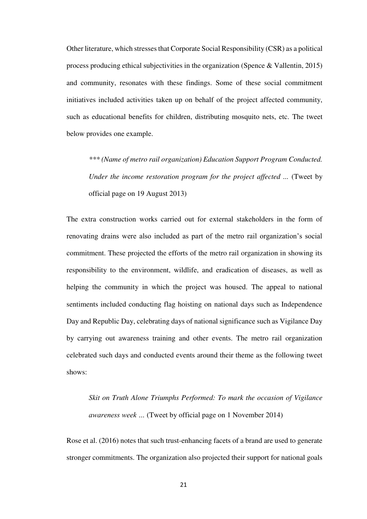Other literature, which stresses that Corporate Social Responsibility (CSR) as a political process producing ethical subjectivities in the organization (Spence & Vallentin, 2015) and community, resonates with these findings. Some of these social commitment initiatives included activities taken up on behalf of the project affected community, such as educational benefits for children, distributing mosquito nets, etc. The tweet below provides one example.

*\*\*\* (Name of metro rail organization) Education Support Program Conducted. Under the income restoration program for the project affected ...* (Tweet by official page on 19 August 2013)

The extra construction works carried out for external stakeholders in the form of renovating drains were also included as part of the metro rail organization's social commitment. These projected the efforts of the metro rail organization in showing its responsibility to the environment, wildlife, and eradication of diseases, as well as helping the community in which the project was housed. The appeal to national sentiments included conducting flag hoisting on national days such as Independence Day and Republic Day, celebrating days of national significance such as Vigilance Day by carrying out awareness training and other events. The metro rail organization celebrated such days and conducted events around their theme as the following tweet shows:

*Skit on Truth Alone Triumphs Performed: To mark the occasion of Vigilance awareness week …* (Tweet by official page on 1 November 2014)

Rose et al. (2016) notes that such trust-enhancing facets of a brand are used to generate stronger commitments. The organization also projected their support for national goals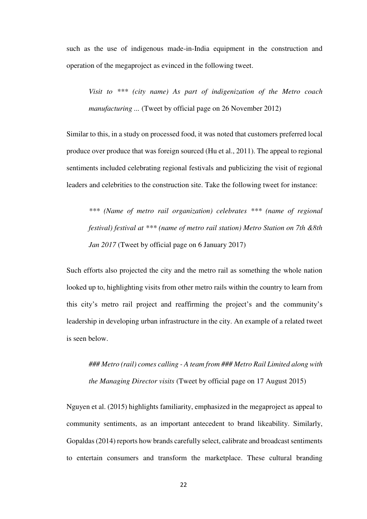such as the use of indigenous made-in-India equipment in the construction and operation of the megaproject as evinced in the following tweet.

*Visit to \*\*\* (city name) As part of indigenization of the Metro coach manufacturing* ... (Tweet by official page on 26 November 2012)

Similar to this, in a study on processed food, it was noted that customers preferred local produce over produce that was foreign sourced (Hu et al., 2011). The appeal to regional sentiments included celebrating regional festivals and publicizing the visit of regional leaders and celebrities to the construction site. Take the following tweet for instance:

*\*\*\* (Name of metro rail organization) celebrates \*\*\* (name of regional festival) festival at \*\*\* (name of metro rail station) Metro Station on 7th &8th Jan 2017* (Tweet by official page on 6 January 2017)

Such efforts also projected the city and the metro rail as something the whole nation looked up to, highlighting visits from other metro rails within the country to learn from this city's metro rail project and reaffirming the project's and the community's leadership in developing urban infrastructure in the city. An example of a related tweet is seen below.

*### Metro (rail) comes calling - A team from ### Metro Rail Limited along with the Managing Director visits* (Tweet by official page on 17 August 2015)

Nguyen et al. (2015) highlights familiarity, emphasized in the megaproject as appeal to community sentiments, as an important antecedent to brand likeability. Similarly, Gopaldas (2014) reports how brands carefully select, calibrate and broadcast sentiments to entertain consumers and transform the marketplace. These cultural branding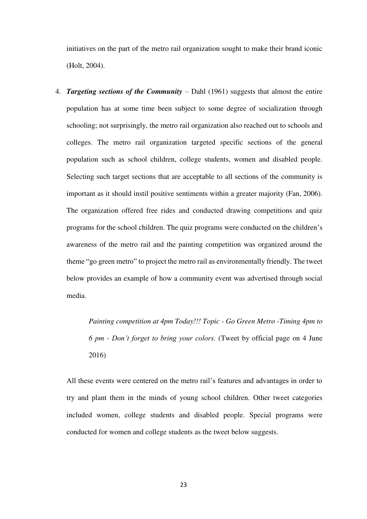initiatives on the part of the metro rail organization sought to make their brand iconic (Holt, 2004).

4. *Targeting sections of the Community* – Dahl (1961) suggests that almost the entire population has at some time been subject to some degree of socialization through schooling; not surprisingly, the metro rail organization also reached out to schools and colleges. The metro rail organization targeted specific sections of the general population such as school children, college students, women and disabled people. Selecting such target sections that are acceptable to all sections of the community is important as it should instil positive sentiments within a greater majority (Fan, 2006). The organization offered free rides and conducted drawing competitions and quiz programs for the school children. The quiz programs were conducted on the children's awareness of the metro rail and the painting competition was organized around the theme "go green metro" to project the metro rail as environmentally friendly. The tweet below provides an example of how a community event was advertised through social media.

> *Painting competition at 4pm Today!!! Topic - Go Green Metro -Timing 4pm to 6 pm - Don't forget to bring your colors.* (Tweet by official page on 4 June 2016)

All these events were centered on the metro rail's features and advantages in order to try and plant them in the minds of young school children. Other tweet categories included women, college students and disabled people. Special programs were conducted for women and college students as the tweet below suggests.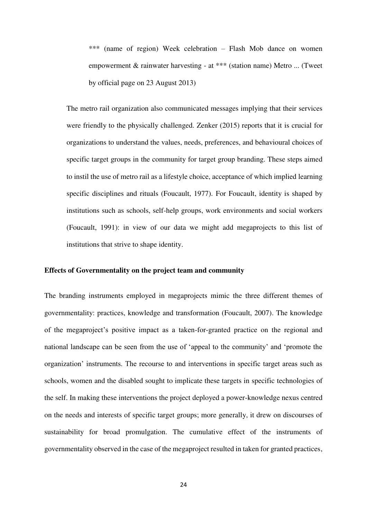\*\*\* (name of region) Week celebration – Flash Mob dance on women empowerment & rainwater harvesting - at \*\*\* (station name) Metro ... (Tweet by official page on 23 August 2013)

The metro rail organization also communicated messages implying that their services were friendly to the physically challenged. Zenker (2015) reports that it is crucial for organizations to understand the values, needs, preferences, and behavioural choices of specific target groups in the community for target group branding. These steps aimed to instil the use of metro rail as a lifestyle choice, acceptance of which implied learning specific disciplines and rituals (Foucault, 1977). For Foucault, identity is shaped by institutions such as schools, self-help groups, work environments and social workers (Foucault, 1991): in view of our data we might add megaprojects to this list of institutions that strive to shape identity.

#### **Effects of Governmentality on the project team and community**

The branding instruments employed in megaprojects mimic the three different themes of governmentality: practices, knowledge and transformation (Foucault, 2007). The knowledge of the megaproject's positive impact as a taken-for-granted practice on the regional and national landscape can be seen from the use of 'appeal to the community' and 'promote the organization' instruments. The recourse to and interventions in specific target areas such as schools, women and the disabled sought to implicate these targets in specific technologies of the self. In making these interventions the project deployed a power-knowledge nexus centred on the needs and interests of specific target groups; more generally, it drew on discourses of sustainability for broad promulgation. The cumulative effect of the instruments of governmentality observed in the case of the megaproject resulted in taken for granted practices,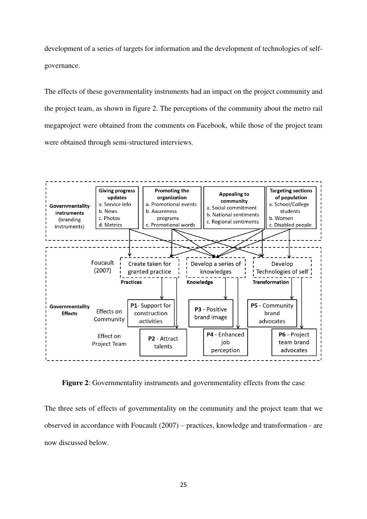development of a series of targets for information and the development of technologies of selfgovernance.

The effects of these governmentality instruments had an impact on the project community and the project team, as shown in figure 2. The perceptions of the community about the metro rail megaproject were obtained from the comments on Facebook, while those of the project team were obtained through semi-structured interviews.



**Figure 2**: Governmentality instruments and governmentality effects from the case

The three sets of effects of governmentality on the community and the project team that we observed in accordance with Foucault (2007) – practices, knowledge and transformation - are now discussed below.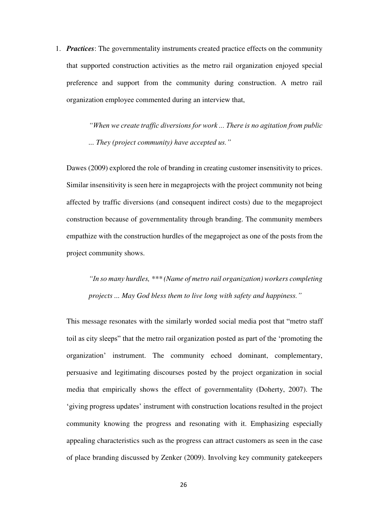1. *Practices*: The governmentality instruments created practice effects on the community that supported construction activities as the metro rail organization enjoyed special preference and support from the community during construction. A metro rail organization employee commented during an interview that,

> *"When we create traffic diversions for work ... There is no agitation from public ... They (project community) have accepted us."*

Dawes (2009) explored the role of branding in creating customer insensitivity to prices. Similar insensitivity is seen here in megaprojects with the project community not being affected by traffic diversions (and consequent indirect costs) due to the megaproject construction because of governmentality through branding. The community members empathize with the construction hurdles of the megaproject as one of the posts from the project community shows.

*"In so many hurdles, \*\*\* (Name of metro rail organization) workers completing projects ... May God bless them to live long with safety and happiness."*

This message resonates with the similarly worded social media post that "metro staff toil as city sleeps" that the metro rail organization posted as part of the 'promoting the organization' instrument. The community echoed dominant, complementary, persuasive and legitimating discourses posted by the project organization in social media that empirically shows the effect of governmentality (Doherty, 2007). The 'giving progress updates' instrument with construction locations resulted in the project community knowing the progress and resonating with it. Emphasizing especially appealing characteristics such as the progress can attract customers as seen in the case of place branding discussed by Zenker (2009). Involving key community gatekeepers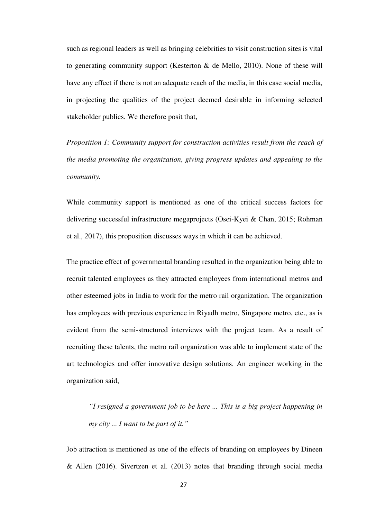such as regional leaders as well as bringing celebrities to visit construction sites is vital to generating community support (Kesterton & de Mello, 2010). None of these will have any effect if there is not an adequate reach of the media, in this case social media, in projecting the qualities of the project deemed desirable in informing selected stakeholder publics. We therefore posit that,

*Proposition 1: Community support for construction activities result from the reach of the media promoting the organization, giving progress updates and appealing to the community.* 

While community support is mentioned as one of the critical success factors for delivering successful infrastructure megaprojects (Osei-Kyei & Chan, 2015; Rohman et al., 2017), this proposition discusses ways in which it can be achieved.

The practice effect of governmental branding resulted in the organization being able to recruit talented employees as they attracted employees from international metros and other esteemed jobs in India to work for the metro rail organization. The organization has employees with previous experience in Riyadh metro, Singapore metro, etc., as is evident from the semi-structured interviews with the project team. As a result of recruiting these talents, the metro rail organization was able to implement state of the art technologies and offer innovative design solutions. An engineer working in the organization said,

*"I resigned a government job to be here ... This is a big project happening in my city ... I want to be part of it."*

Job attraction is mentioned as one of the effects of branding on employees by Dineen & Allen (2016). Sivertzen et al. (2013) notes that branding through social media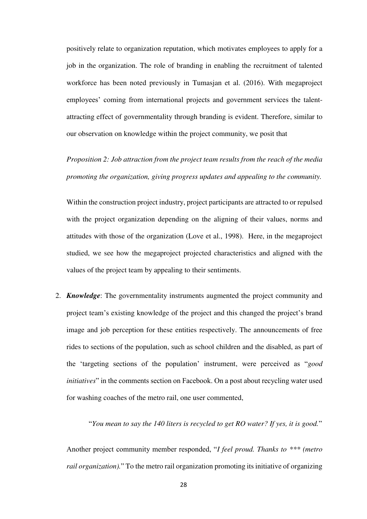positively relate to organization reputation, which motivates employees to apply for a job in the organization. The role of branding in enabling the recruitment of talented workforce has been noted previously in Tumasjan et al. (2016). With megaproject employees' coming from international projects and government services the talentattracting effect of governmentality through branding is evident. Therefore, similar to our observation on knowledge within the project community, we posit that

*Proposition 2: Job attraction from the project team results from the reach of the media promoting the organization, giving progress updates and appealing to the community.* 

Within the construction project industry, project participants are attracted to or repulsed with the project organization depending on the aligning of their values, norms and attitudes with those of the organization (Love et al., 1998). Here, in the megaproject studied, we see how the megaproject projected characteristics and aligned with the values of the project team by appealing to their sentiments.

2. *Knowledge*: The governmentality instruments augmented the project community and project team's existing knowledge of the project and this changed the project's brand image and job perception for these entities respectively. The announcements of free rides to sections of the population, such as school children and the disabled, as part of the 'targeting sections of the population' instrument, were perceived as "*good initiatives*" in the comments section on Facebook. On a post about recycling water used for washing coaches of the metro rail, one user commented,

"*You mean to say the 140 liters is recycled to get RO water? If yes, it is good.*"

Another project community member responded, "*I feel proud. Thanks to \*\*\* (metro rail organization).*" To the metro rail organization promoting its initiative of organizing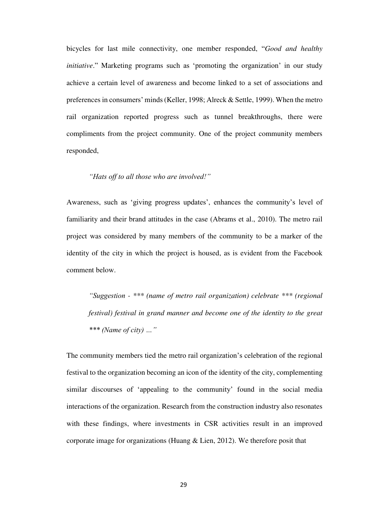bicycles for last mile connectivity, one member responded, "*Good and healthy initiative*." Marketing programs such as 'promoting the organization' in our study achieve a certain level of awareness and become linked to a set of associations and preferences in consumers' minds (Keller, 1998; Alreck & Settle, 1999). When the metro rail organization reported progress such as tunnel breakthroughs, there were compliments from the project community. One of the project community members responded,

# *"Hats off to all those who are involved!"*

Awareness, such as 'giving progress updates', enhances the community's level of familiarity and their brand attitudes in the case (Abrams et al., 2010). The metro rail project was considered by many members of the community to be a marker of the identity of the city in which the project is housed, as is evident from the Facebook comment below.

*"Suggestion - \*\*\* (name of metro rail organization) celebrate \*\*\* (regional festival) festival in grand manner and become one of the identity to the great \*\*\* (Name of city) …"*

The community members tied the metro rail organization's celebration of the regional festival to the organization becoming an icon of the identity of the city, complementing similar discourses of 'appealing to the community' found in the social media interactions of the organization. Research from the construction industry also resonates with these findings, where investments in CSR activities result in an improved corporate image for organizations (Huang & Lien, 2012). We therefore posit that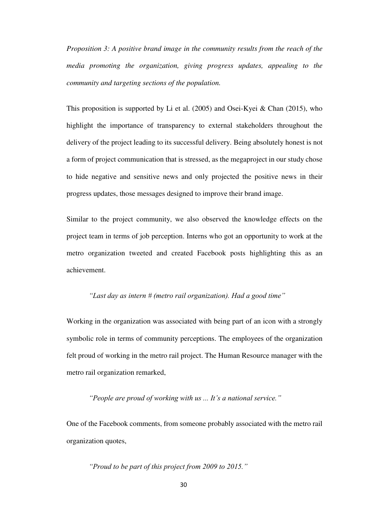*Proposition 3: A positive brand image in the community results from the reach of the media promoting the organization, giving progress updates, appealing to the community and targeting sections of the population.* 

This proposition is supported by Li et al. (2005) and Osei-Kyei & Chan (2015), who highlight the importance of transparency to external stakeholders throughout the delivery of the project leading to its successful delivery. Being absolutely honest is not a form of project communication that is stressed, as the megaproject in our study chose to hide negative and sensitive news and only projected the positive news in their progress updates, those messages designed to improve their brand image.

Similar to the project community, we also observed the knowledge effects on the project team in terms of job perception. Interns who got an opportunity to work at the metro organization tweeted and created Facebook posts highlighting this as an achievement.

# *"Last day as intern # (metro rail organization). Had a good time"*

Working in the organization was associated with being part of an icon with a strongly symbolic role in terms of community perceptions. The employees of the organization felt proud of working in the metro rail project. The Human Resource manager with the metro rail organization remarked,

# *"People are proud of working with us ... It's a national service."*

One of the Facebook comments, from someone probably associated with the metro rail organization quotes,

# *"Proud to be part of this project from 2009 to 2015."*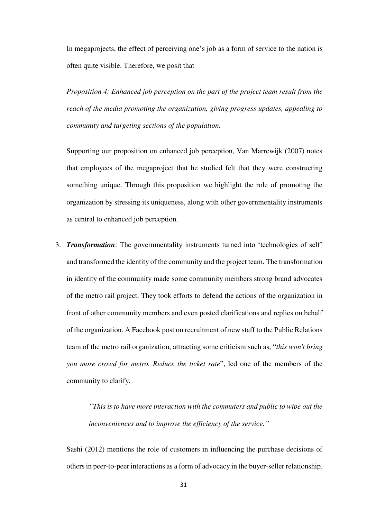In megaprojects, the effect of perceiving one's job as a form of service to the nation is often quite visible. Therefore, we posit that

*Proposition 4: Enhanced job perception on the part of the project team result from the reach of the media promoting the organization, giving progress updates, appealing to community and targeting sections of the population.* 

Supporting our proposition on enhanced job perception, Van Marrewijk (2007) notes that employees of the megaproject that he studied felt that they were constructing something unique. Through this proposition we highlight the role of promoting the organization by stressing its uniqueness, along with other governmentality instruments as central to enhanced job perception.

3. *Transformation*: The governmentality instruments turned into 'technologies of self' and transformed the identity of the community and the project team. The transformation in identity of the community made some community members strong brand advocates of the metro rail project. They took efforts to defend the actions of the organization in front of other community members and even posted clarifications and replies on behalf of the organization. A Facebook post on recruitment of new staff to the Public Relations team of the metro rail organization, attracting some criticism such as, "*this won't bring you more crowd for metro. Reduce the ticket rate*", led one of the members of the community to clarify,

> *"This is to have more interaction with the commuters and public to wipe out the inconveniences and to improve the efficiency of the service."*

Sashi (2012) mentions the role of customers in influencing the purchase decisions of others in peer-to-peer interactions as a form of advocacy in the buyer-seller relationship.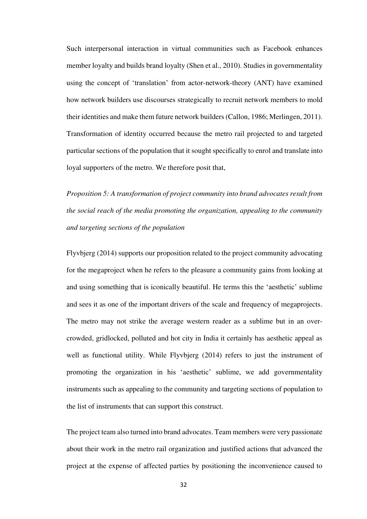Such interpersonal interaction in virtual communities such as Facebook enhances member loyalty and builds brand loyalty (Shen et al., 2010). Studies in governmentality using the concept of 'translation' from actor-network-theory (ANT) have examined how network builders use discourses strategically to recruit network members to mold their identities and make them future network builders (Callon, 1986; Merlingen, 2011). Transformation of identity occurred because the metro rail projected to and targeted particular sections of the population that it sought specifically to enrol and translate into loyal supporters of the metro. We therefore posit that,

*Proposition 5: A transformation of project community into brand advocates result from the social reach of the media promoting the organization, appealing to the community and targeting sections of the population* 

Flyvbjerg (2014) supports our proposition related to the project community advocating for the megaproject when he refers to the pleasure a community gains from looking at and using something that is iconically beautiful. He terms this the 'aesthetic' sublime and sees it as one of the important drivers of the scale and frequency of megaprojects. The metro may not strike the average western reader as a sublime but in an overcrowded, gridlocked, polluted and hot city in India it certainly has aesthetic appeal as well as functional utility. While Flyvbjerg (2014) refers to just the instrument of promoting the organization in his 'aesthetic' sublime, we add governmentality instruments such as appealing to the community and targeting sections of population to the list of instruments that can support this construct.

The project team also turned into brand advocates. Team members were very passionate about their work in the metro rail organization and justified actions that advanced the project at the expense of affected parties by positioning the inconvenience caused to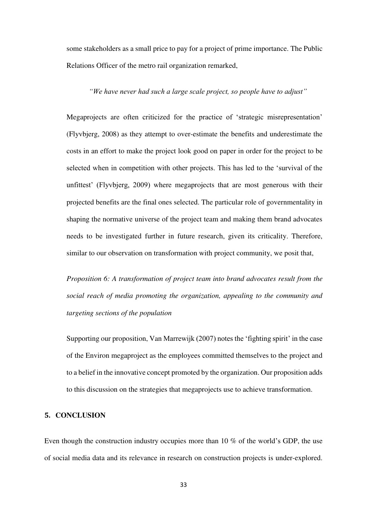some stakeholders as a small price to pay for a project of prime importance. The Public Relations Officer of the metro rail organization remarked,

# *"We have never had such a large scale project, so people have to adjust"*

Megaprojects are often criticized for the practice of 'strategic misrepresentation' (Flyvbjerg, 2008) as they attempt to over-estimate the benefits and underestimate the costs in an effort to make the project look good on paper in order for the project to be selected when in competition with other projects. This has led to the 'survival of the unfittest' (Flyvbjerg, 2009) where megaprojects that are most generous with their projected benefits are the final ones selected. The particular role of governmentality in shaping the normative universe of the project team and making them brand advocates needs to be investigated further in future research, given its criticality. Therefore, similar to our observation on transformation with project community, we posit that,

*Proposition 6: A transformation of project team into brand advocates result from the social reach of media promoting the organization, appealing to the community and targeting sections of the population* 

Supporting our proposition, Van Marrewijk (2007) notes the 'fighting spirit' in the case of the Environ megaproject as the employees committed themselves to the project and to a belief in the innovative concept promoted by the organization. Our proposition adds to this discussion on the strategies that megaprojects use to achieve transformation.

### **5. CONCLUSION**

Even though the construction industry occupies more than 10 % of the world's GDP, the use of social media data and its relevance in research on construction projects is under-explored.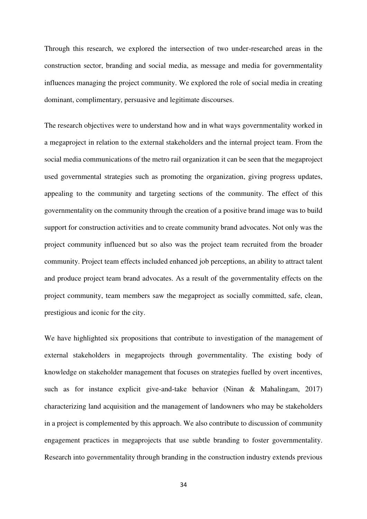Through this research, we explored the intersection of two under-researched areas in the construction sector, branding and social media, as message and media for governmentality influences managing the project community. We explored the role of social media in creating dominant, complimentary, persuasive and legitimate discourses.

The research objectives were to understand how and in what ways governmentality worked in a megaproject in relation to the external stakeholders and the internal project team. From the social media communications of the metro rail organization it can be seen that the megaproject used governmental strategies such as promoting the organization, giving progress updates, appealing to the community and targeting sections of the community. The effect of this governmentality on the community through the creation of a positive brand image was to build support for construction activities and to create community brand advocates. Not only was the project community influenced but so also was the project team recruited from the broader community. Project team effects included enhanced job perceptions, an ability to attract talent and produce project team brand advocates. As a result of the governmentality effects on the project community, team members saw the megaproject as socially committed, safe, clean, prestigious and iconic for the city.

We have highlighted six propositions that contribute to investigation of the management of external stakeholders in megaprojects through governmentality. The existing body of knowledge on stakeholder management that focuses on strategies fuelled by overt incentives, such as for instance explicit give-and-take behavior (Ninan & Mahalingam, 2017) characterizing land acquisition and the management of landowners who may be stakeholders in a project is complemented by this approach. We also contribute to discussion of community engagement practices in megaprojects that use subtle branding to foster governmentality. Research into governmentality through branding in the construction industry extends previous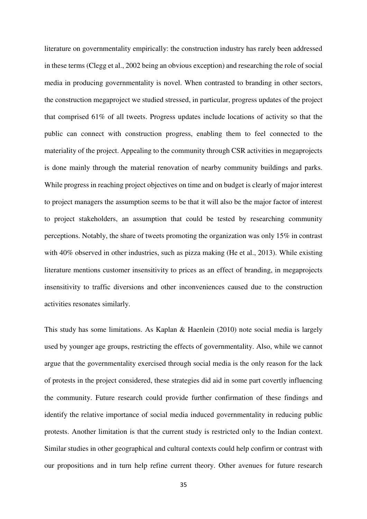literature on governmentality empirically: the construction industry has rarely been addressed in these terms (Clegg et al., 2002 being an obvious exception) and researching the role of social media in producing governmentality is novel. When contrasted to branding in other sectors, the construction megaproject we studied stressed, in particular, progress updates of the project that comprised 61% of all tweets. Progress updates include locations of activity so that the public can connect with construction progress, enabling them to feel connected to the materiality of the project. Appealing to the community through CSR activities in megaprojects is done mainly through the material renovation of nearby community buildings and parks. While progress in reaching project objectives on time and on budget is clearly of major interest to project managers the assumption seems to be that it will also be the major factor of interest to project stakeholders, an assumption that could be tested by researching community perceptions. Notably, the share of tweets promoting the organization was only 15% in contrast with 40% observed in other industries, such as pizza making (He et al., 2013). While existing literature mentions customer insensitivity to prices as an effect of branding, in megaprojects insensitivity to traffic diversions and other inconveniences caused due to the construction activities resonates similarly.

This study has some limitations. As Kaplan & Haenlein (2010) note social media is largely used by younger age groups, restricting the effects of governmentality. Also, while we cannot argue that the governmentality exercised through social media is the only reason for the lack of protests in the project considered, these strategies did aid in some part covertly influencing the community. Future research could provide further confirmation of these findings and identify the relative importance of social media induced governmentality in reducing public protests. Another limitation is that the current study is restricted only to the Indian context. Similar studies in other geographical and cultural contexts could help confirm or contrast with our propositions and in turn help refine current theory. Other avenues for future research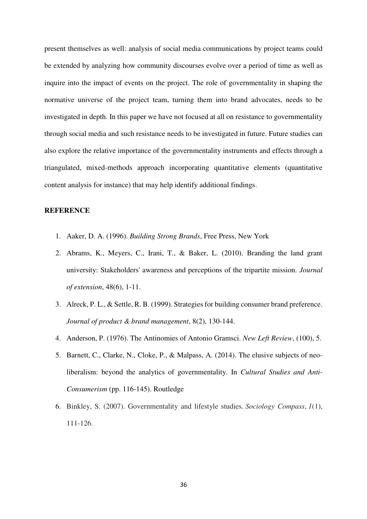present themselves as well: analysis of social media communications by project teams could be extended by analyzing how community discourses evolve over a period of time as well as inquire into the impact of events on the project. The role of governmentality in shaping the normative universe of the project team, turning them into brand advocates, needs to be investigated in depth. In this paper we have not focused at all on resistance to governmentality through social media and such resistance needs to be investigated in future. Future studies can also explore the relative importance of the governmentality instruments and effects through a triangulated, mixed-methods approach incorporating quantitative elements (quantitative content analysis for instance) that may help identify additional findings.

#### **REFERENCE**

- 1. Aaker, D. A. (1996). *Building Strong Brands*, Free Press, New York
- 2. Abrams, K., Meyers, C., Irani, T., & Baker, L. (2010). Branding the land grant university: Stakeholders' awareness and perceptions of the tripartite mission. *Journal of extension*, 48(6), 1-11.
- 3. Alreck, P. L., & Settle, R. B. (1999). Strategies for building consumer brand preference. *Journal of product & brand management*, 8(2), 130-144.
- 4. Anderson, P. (1976). The Antinomies of Antonio Gramsci. *New Left Review*, (100), 5.
- 5. Barnett, C., Clarke, N., Cloke, P., & Malpass, A. (2014). The elusive subjects of neoliberalism: beyond the analytics of governmentality. In *Cultural Studies and Anti-Consumerism* (pp. 116-145). Routledge
- 6. Binkley, S. (2007). Governmentality and lifestyle studies. *Sociology Compass*, *1*(1), 111-126.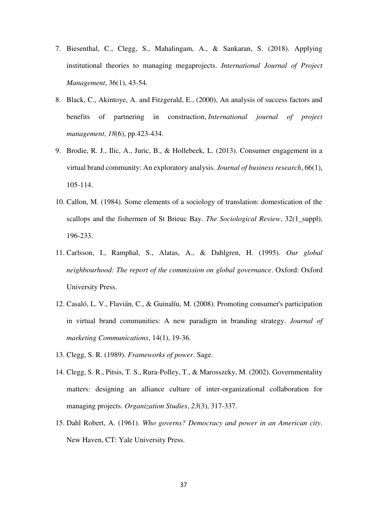- 7. Biesenthal, C., Clegg, S., Mahalingam, A., & Sankaran, S. (2018). Applying institutional theories to managing megaprojects. *International Journal of Project Management*, 36(1), 43-54.
- 8. Black, C., Akintoye, A. and Fitzgerald, E., (2000), An analysis of success factors and benefits of partnering in construction, *International journal of project management*, *18*(6), pp.423-434.
- 9. Brodie, R. J., Ilic, A., Juric, B., & Hollebeek, L. (2013). Consumer engagement in a virtual brand community: An exploratory analysis. *Journal of business research*, 66(1), 105-114.
- 10. Callon, M. (1984). Some elements of a sociology of translation: domestication of the scallops and the fishermen of St Brieuc Bay. *The Sociological Review*, 32(1\_suppl), 196-233.
- 11. Carlsson, I., Ramphal, S., Alatas, A., & Dahlgren, H. (1995). *Our global neighbourhood: The report of the commission on global governance*. Oxford: Oxford University Press.
- 12. Casaló, L. V., Flavián, C., & Guinalíu, M. (2008). Promoting consumer's participation in virtual brand communities: A new paradigm in branding strategy. *Journal of marketing Communications*, 14(1), 19-36.
- 13. Clegg, S. R. (1989). *Frameworks of power*. Sage.
- 14. Clegg, S. R., Pitsis, T. S., Rura-Polley, T., & Marosszeky, M. (2002). Governmentality matters: designing an alliance culture of inter-organizational collaboration for managing projects. *Organization Studies*, *23*(3), 317-337.
- 15. Dahl Robert, A. (1961). *Who governs? Democracy and power in an American city*. New Haven, CT: Yale University Press.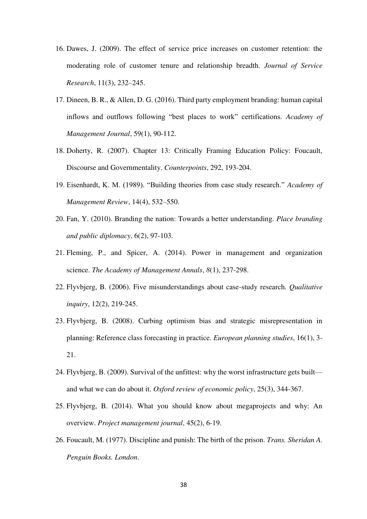- 16. Dawes, J. (2009). The effect of service price increases on customer retention: the moderating role of customer tenure and relationship breadth. *Journal of Service Research*, 11(3), 232–245.
- 17. Dineen, B. R., & Allen, D. G. (2016). Third party employment branding: human capital inflows and outflows following "best places to work" certifications. *Academy of Management Journal*, 59(1), 90-112.
- 18. Doherty, R. (2007). Chapter 13: Critically Framing Education Policy: Foucault, Discourse and Governmentality. *Counterpoints*, 292, 193-204.
- 19. Eisenhardt, K. M. (1989). "Building theories from case study research." *Academy of Management Review*, 14(4), 532–550.
- 20. Fan, Y. (2010). Branding the nation: Towards a better understanding. *Place branding and public diplomacy*, 6(2), 97-103.
- 21. Fleming, P., and Spicer, A. (2014). Power in management and organization science. *The Academy of Management Annals*, *8*(1), 237-298.
- 22. Flyvbjerg, B. (2006). Five misunderstandings about case-study research. *Qualitative inquiry*, 12(2), 219-245.
- 23. Flyvbjerg, B. (2008). Curbing optimism bias and strategic misrepresentation in planning: Reference class forecasting in practice. *European planning studies*, 16(1), 3- 21.
- 24. Flyvbjerg, B. (2009). Survival of the unfittest: why the worst infrastructure gets built and what we can do about it. *Oxford review of economic policy*, 25(3), 344-367.
- 25. Flyvbjerg, B. (2014). What you should know about megaprojects and why: An overview. *Project management journal*, 45(2), 6-19.
- 26. Foucault, M. (1977). Discipline and punish: The birth of the prison. *Trans. Sheridan A. Penguin Books. London*.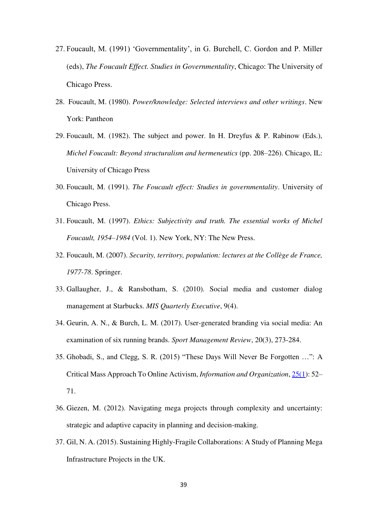- 27. Foucault, M. (1991) 'Governmentality', in G. Burchell, C. Gordon and P. Miller (eds), *The Foucault Effect. Studies in Governmentality*, Chicago: The University of Chicago Press.
- 28. Foucault, M. (1980). *Power/knowledge: Selected interviews and other writings*. New York: Pantheon
- 29. Foucault, M. (1982). The subject and power. In H. Dreyfus & P. Rabinow (Eds.), *Michel Foucault: Beyond structuralism and hermeneutics* (pp. 208–226). Chicago, IL: University of Chicago Press
- 30. Foucault, M. (1991). *The Foucault effect: Studies in governmentality*. University of Chicago Press.
- 31. Foucault, M. (1997). *Ethics: Subjectivity and truth. The essential works of Michel Foucault, 1954–1984* (Vol. 1). New York, NY: The New Press.
- 32. Foucault, M. (2007). *Security, territory, population: lectures at the Collège de France, 1977-78*. Springer.
- 33. Gallaugher, J., & Ransbotham, S. (2010). Social media and customer dialog management at Starbucks. *MIS Quarterly Executive*, 9(4).
- 34. Geurin, A. N., & Burch, L. M. (2017). User-generated branding via social media: An examination of six running brands. *Sport Management Review*, 20(3), 273-284.
- 35. Ghobadi, S., and Clegg, S. R. (2015) "These Days Will Never Be Forgotten …": A Critical Mass Approach To Online Activism, *Information and Organization*[, 25\(1\)](http://www.sciencedirect.com/science/journal/14717727/25/1): 52– 71.
- 36. Giezen, M. (2012). Navigating mega projects through complexity and uncertainty: strategic and adaptive capacity in planning and decision-making.
- 37. Gil, N. A. (2015). Sustaining Highly-Fragile Collaborations: A Study of Planning Mega Infrastructure Projects in the UK.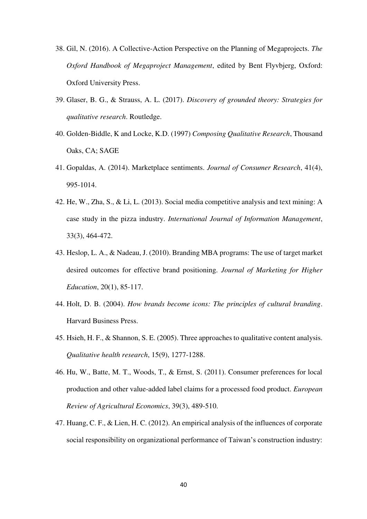- 38. Gil, N. (2016). A Collective-Action Perspective on the Planning of Megaprojects. *The Oxford Handbook of Megaproject Management*, edited by Bent Flyvbjerg, Oxford: Oxford University Press.
- 39. Glaser, B. G., & Strauss, A. L. (2017). *Discovery of grounded theory: Strategies for qualitative research*. Routledge.
- 40. Golden-Biddle, K and Locke, K.D. (1997) *Composing Qualitative Research*, Thousand Oaks, CA; SAGE
- 41. Gopaldas, A. (2014). Marketplace sentiments. *Journal of Consumer Research*, 41(4), 995-1014.
- 42. He, W., Zha, S., & Li, L. (2013). Social media competitive analysis and text mining: A case study in the pizza industry. *International Journal of Information Management*, 33(3), 464-472.
- 43. Heslop, L. A., & Nadeau, J. (2010). Branding MBA programs: The use of target market desired outcomes for effective brand positioning. *Journal of Marketing for Higher Education*, 20(1), 85-117.
- 44. Holt, D. B. (2004). *How brands become icons: The principles of cultural branding*. Harvard Business Press.
- 45. Hsieh, H. F., & Shannon, S. E. (2005). Three approaches to qualitative content analysis. *Qualitative health research*, 15(9), 1277-1288.
- 46. Hu, W., Batte, M. T., Woods, T., & Ernst, S. (2011). Consumer preferences for local production and other value-added label claims for a processed food product. *European Review of Agricultural Economics*, 39(3), 489-510.
- 47. Huang, C. F., & Lien, H. C. (2012). An empirical analysis of the influences of corporate social responsibility on organizational performance of Taiwan's construction industry: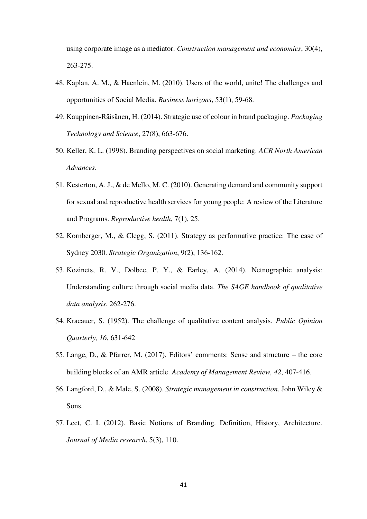using corporate image as a mediator. *Construction management and economics*, 30(4), 263-275.

- 48. Kaplan, A. M., & Haenlein, M. (2010). Users of the world, unite! The challenges and opportunities of Social Media. *Business horizons*, 53(1), 59-68.
- 49. Kauppinen‐Räisänen, H. (2014). Strategic use of colour in brand packaging. *Packaging Technology and Science*, 27(8), 663-676.
- 50. Keller, K. L. (1998). Branding perspectives on social marketing. *ACR North American Advances*.
- 51. Kesterton, A. J., & de Mello, M. C. (2010). Generating demand and community support for sexual and reproductive health services for young people: A review of the Literature and Programs. *Reproductive health*, 7(1), 25.
- 52. Kornberger, M., & Clegg, S. (2011). Strategy as performative practice: The case of Sydney 2030. *Strategic Organization*, 9(2), 136-162.
- 53. Kozinets, R. V., Dolbec, P. Y., & Earley, A. (2014). Netnographic analysis: Understanding culture through social media data. *The SAGE handbook of qualitative data analysis*, 262-276.
- 54. Kracauer, S. (1952). The challenge of qualitative content analysis. *Public Opinion Quarterly, 16*, 631-642
- 55. Lange, D., & Pfarrer, M. (2017). Editors' comments: Sense and structure the core building blocks of an AMR article. *Academy of Management Review, 42*, 407-416.
- 56. Langford, D., & Male, S. (2008). *Strategic management in construction*. John Wiley & Sons.
- 57. Lect, C. I. (2012). Basic Notions of Branding. Definition, History, Architecture. *Journal of Media research*, 5(3), 110.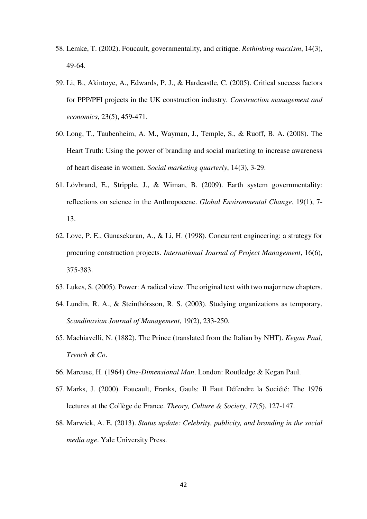- 58. Lemke, T. (2002). Foucault, governmentality, and critique. *Rethinking marxism*, 14(3), 49-64.
- 59. Li, B., Akintoye, A., Edwards, P. J., & Hardcastle, C. (2005). Critical success factors for PPP/PFI projects in the UK construction industry. *Construction management and economics*, 23(5), 459-471.
- 60. Long, T., Taubenheim, A. M., Wayman, J., Temple, S., & Ruoff, B. A. (2008). The Heart Truth: Using the power of branding and social marketing to increase awareness of heart disease in women. *Social marketing quarterly*, 14(3), 3-29.
- 61. Lövbrand, E., Stripple, J., & Wiman, B. (2009). Earth system governmentality: reflections on science in the Anthropocene. *Global Environmental Change*, 19(1), 7- 13.
- 62. Love, P. E., Gunasekaran, A., & Li, H. (1998). Concurrent engineering: a strategy for procuring construction projects. *International Journal of Project Management*, 16(6), 375-383.
- 63. Lukes, S. (2005). Power: A radical view. The original text with two major new chapters.
- 64. Lundin, R. A., & Steinthórsson, R. S. (2003). Studying organizations as temporary. *Scandinavian Journal of Management*, 19(2), 233-250.
- 65. Machiavelli, N. (1882). The Prince (translated from the Italian by NHT). *Kegan Paul, Trench & Co*.
- 66. Marcuse, H. (1964) *One-Dimensional Man*. London: Routledge & Kegan Paul.
- 67. Marks, J. (2000). Foucault, Franks, Gauls: Il Faut Défendre la Société: The 1976 lectures at the Collège de France. *Theory, Culture & Society*, *17*(5), 127-147.
- 68. Marwick, A. E. (2013). *Status update: Celebrity, publicity, and branding in the social media age*. Yale University Press.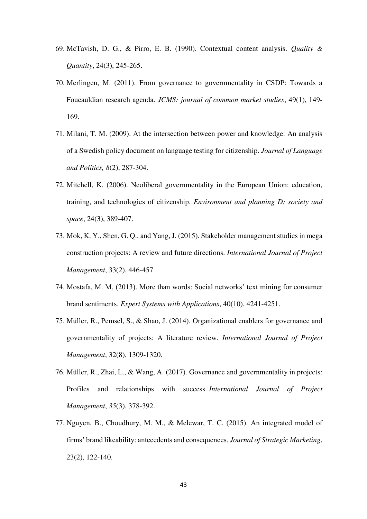- 69. McTavish, D. G., & Pirro, E. B. (1990). Contextual content analysis. *Quality & Quantity*, 24(3), 245-265.
- 70. Merlingen, M. (2011). From governance to governmentality in CSDP: Towards a Foucauldian research agenda. *JCMS: journal of common market studies*, 49(1), 149- 169.
- 71. Milani, T. M. (2009). At the intersection between power and knowledge: An analysis of a Swedish policy document on language testing for citizenship. *Journal of Language and Politics, 8*(2), 287-304.
- 72. Mitchell, K. (2006). Neoliberal governmentality in the European Union: education, training, and technologies of citizenship. *Environment and planning D: society and space*, 24(3), 389-407.
- 73. Mok, K. Y., Shen, G. Q., and Yang, J. (2015). Stakeholder management studies in mega construction projects: A review and future directions. *International Journal of Project Management*, 33(2), 446-457
- 74. Mostafa, M. M. (2013). More than words: Social networks' text mining for consumer brand sentiments. *Expert Systems with Applications*, 40(10), 4241-4251.
- 75. Müller, R., Pemsel, S., & Shao, J. (2014). Organizational enablers for governance and governmentality of projects: A literature review. *International Journal of Project Management*, 32(8), 1309-1320.
- 76. Müller, R., Zhai, L., & Wang, A. (2017). Governance and governmentality in projects: Profiles and relationships with success. *International Journal of Project Management*, *35*(3), 378-392.
- 77. Nguyen, B., Choudhury, M. M., & Melewar, T. C. (2015). An integrated model of firms' brand likeability: antecedents and consequences. *Journal of Strategic Marketing*, 23(2), 122-140.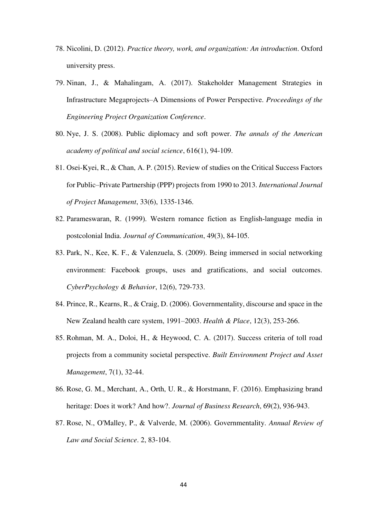- 78. Nicolini, D. (2012). *Practice theory, work, and organization: An introduction*. Oxford university press.
- 79. Ninan, J., & Mahalingam, A. (2017). Stakeholder Management Strategies in Infrastructure Megaprojects–A Dimensions of Power Perspective. *Proceedings of the Engineering Project Organization Conference*.
- 80. Nye, J. S. (2008). Public diplomacy and soft power. *The annals of the American academy of political and social science*, 616(1), 94-109.
- 81. Osei-Kyei, R., & Chan, A. P. (2015). Review of studies on the Critical Success Factors for Public–Private Partnership (PPP) projects from 1990 to 2013. *International Journal of Project Management*, 33(6), 1335-1346.
- 82. Parameswaran, R. (1999). Western romance fiction as English‐language media in postcolonial India. *Journal of Communication*, 49(3), 84-105.
- 83. Park, N., Kee, K. F., & Valenzuela, S. (2009). Being immersed in social networking environment: Facebook groups, uses and gratifications, and social outcomes. *CyberPsychology & Behavior*, 12(6), 729-733.
- 84. Prince, R., Kearns, R., & Craig, D. (2006). Governmentality, discourse and space in the New Zealand health care system, 1991–2003. *Health & Place*, 12(3), 253-266.
- 85. Rohman, M. A., Doloi, H., & Heywood, C. A. (2017). Success criteria of toll road projects from a community societal perspective. *Built Environment Project and Asset Management*, 7(1), 32-44.
- 86. Rose, G. M., Merchant, A., Orth, U. R., & Horstmann, F. (2016). Emphasizing brand heritage: Does it work? And how?. *Journal of Business Research*, 69(2), 936-943.
- 87. Rose, N., O'Malley, P., & Valverde, M. (2006). Governmentality. *Annual Review of Law and Social Science*. 2, 83-104.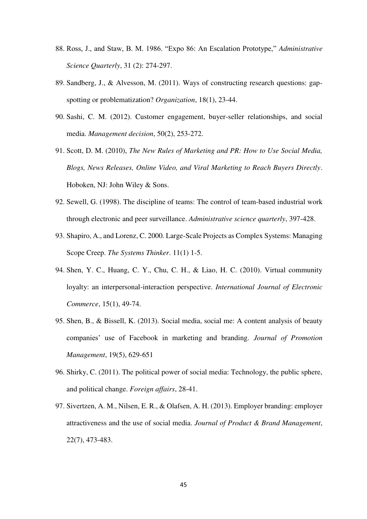- 88. Ross, J., and Staw, B. M. 1986. "Expo 86: An Escalation Prototype," *Administrative Science Quarterly*, 31 (2): 274-297.
- 89. Sandberg, J., & Alvesson, M. (2011). Ways of constructing research questions: gapspotting or problematization? *Organization*, 18(1), 23-44.
- 90. Sashi, C. M. (2012). Customer engagement, buyer-seller relationships, and social media. *Management decision*, 50(2), 253-272.
- 91. Scott, D. M. (2010), *The New Rules of Marketing and PR: How to Use Social Media, Blogs, News Releases, Online Video, and Viral Marketing to Reach Buyers Directly*. Hoboken, NJ: John Wiley & Sons.
- 92. Sewell, G. (1998). The discipline of teams: The control of team-based industrial work through electronic and peer surveillance. *Administrative science quarterly*, 397-428.
- 93. Shapiro, A., and Lorenz, C. 2000. Large-Scale Projects as Complex Systems: Managing Scope Creep. *The Systems Thinker*. 11(1) 1-5.
- 94. Shen, Y. C., Huang, C. Y., Chu, C. H., & Liao, H. C. (2010). Virtual community loyalty: an interpersonal-interaction perspective. *International Journal of Electronic Commerce*, 15(1), 49-74.
- 95. Shen, B., & Bissell, K. (2013). Social media, social me: A content analysis of beauty companies' use of Facebook in marketing and branding. *Journal of Promotion Management*, 19(5), 629-651
- 96. Shirky, C. (2011). The political power of social media: Technology, the public sphere, and political change. *Foreign affairs*, 28-41.
- 97. Sivertzen, A. M., Nilsen, E. R., & Olafsen, A. H. (2013). Employer branding: employer attractiveness and the use of social media. *Journal of Product & Brand Management*, 22(7), 473-483.